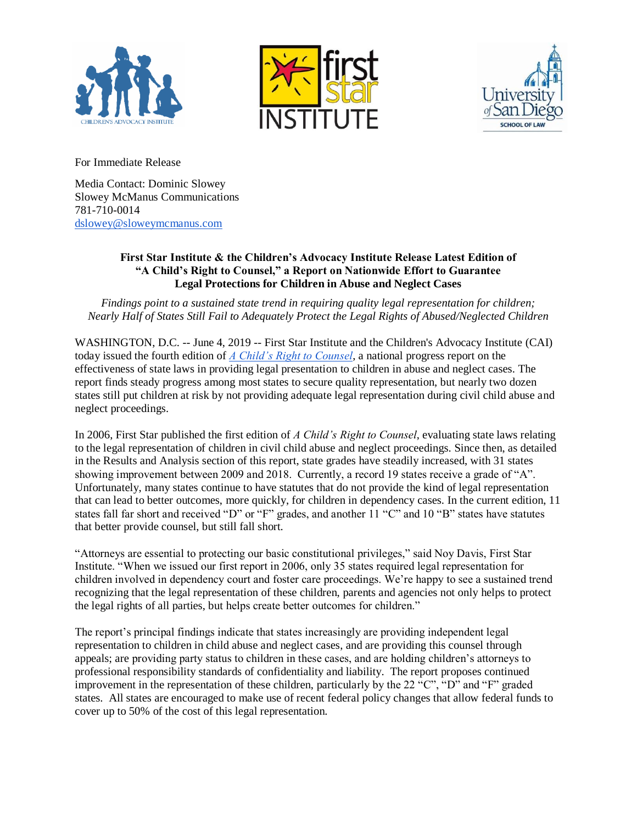





For Immediate Release

Media Contact: Dominic Slowey Slowey McManus Communications 781-710-0014 [dslowey@sloweymcmanus.com](mailto:dslowey@sloweymcmanus.com)

## **First Star Institute & the Children's Advocacy Institute Release Latest Edition of "A Child's Right to Counsel," a Report on Nationwide Effort to Guarantee Legal Protections for Children in Abuse and Neglect Cases**

*Findings point to a sustained state trend in requiring quality legal representation for children; Nearly Half of States Still Fail to Adequately Protect the Legal Rights of Abused/Neglected Children*

WASHINGTON, D.C. -- June 4, 2019 -- First Star Institute and the Children's Advocacy Institute (CAI) today issued the fourth edition of *[A Child's Right to Counsel](https://docs.wixstatic.com/ugd/2b5285_aa4a099876dd40ee853d6861e8ba8b5b.pdf)*, a national progress report on the effectiveness of state laws in providing legal presentation to children in abuse and neglect cases. The report finds steady progress among most states to secure quality representation, but nearly two dozen states still put children at risk by not providing adequate legal representation during civil child abuse and neglect proceedings.

In 2006, First Star published the first edition of *A Child's Right to Counsel*, evaluating state laws relating to the legal representation of children in civil child abuse and neglect proceedings. Since then, as detailed in the Results and Analysis section of this report, state grades have steadily increased, with 31 states showing improvement between 2009 and 2018. Currently, a record 19 states receive a grade of "A". Unfortunately, many states continue to have statutes that do not provide the kind of legal representation that can lead to better outcomes, more quickly, for children in dependency cases. In the current edition, 11 states fall far short and received "D" or "F" grades, and another 11 "C" and 10 "B" states have statutes that better provide counsel, but still fall short.

"Attorneys are essential to protecting our basic constitutional privileges," said Noy Davis, First Star Institute. "When we issued our first report in 2006, only 35 states required legal representation for children involved in dependency court and foster care proceedings. We're happy to see a sustained trend recognizing that the legal representation of these children, parents and agencies not only helps to protect the legal rights of all parties, but helps create better outcomes for children."

The report's principal findings indicate that states increasingly are providing independent legal representation to children in child abuse and neglect cases, and are providing this counsel through appeals; are providing party status to children in these cases, and are holding children's attorneys to professional responsibility standards of confidentiality and liability. The report proposes continued improvement in the representation of these children, particularly by the 22 "C", "D" and "F" graded states. All states are encouraged to make use of recent federal policy changes that allow federal funds to cover up to 50% of the cost of this legal representation.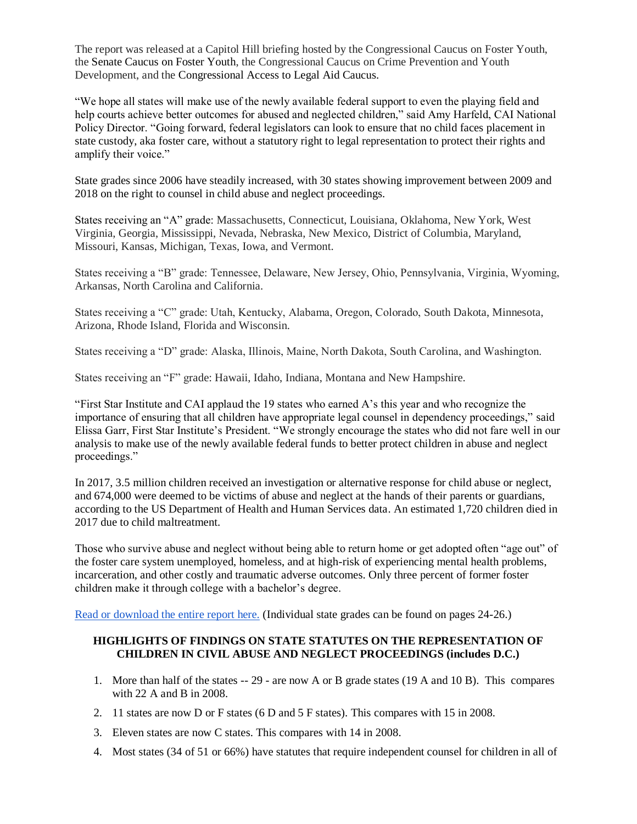The report was released at a Capitol Hill briefing hosted by the Congressional Caucus on Foster Youth, the Senate Caucus on Foster Youth, the Congressional Caucus on Crime Prevention and Youth Development, and the Congressional Access to Legal Aid Caucus.

"We hope all states will make use of the newly available federal support to even the playing field and help courts achieve better outcomes for abused and neglected children," said Amy Harfeld, CAI National Policy Director. "Going forward, federal legislators can look to ensure that no child faces placement in state custody, aka foster care, without a statutory right to legal representation to protect their rights and amplify their voice."

State grades since 2006 have steadily increased, with 30 states showing improvement between 2009 and 2018 on the right to counsel in child abuse and neglect proceedings.

States receiving an "A" grade: Massachusetts, Connecticut, Louisiana, Oklahoma, New York, West Virginia, Georgia, Mississippi, Nevada, Nebraska, New Mexico, District of Columbia, Maryland, Missouri, Kansas, Michigan, Texas, Iowa, and Vermont.

States receiving a "B" grade: Tennessee, Delaware, New Jersey, Ohio, Pennsylvania, Virginia, Wyoming, Arkansas, North Carolina and California.

States receiving a "C" grade: Utah, Kentucky, Alabama, Oregon, Colorado, South Dakota, Minnesota, Arizona, Rhode Island, Florida and Wisconsin.

States receiving a "D" grade: Alaska, Illinois, Maine, North Dakota, South Carolina, and Washington.

States receiving an "F" grade: Hawaii, Idaho, Indiana, Montana and New Hampshire.

"First Star Institute and CAI applaud the 19 states who earned A's this year and who recognize the importance of ensuring that all children have appropriate legal counsel in dependency proceedings," said Elissa Garr, First Star Institute's President. "We strongly encourage the states who did not fare well in our analysis to make use of the newly available federal funds to better protect children in abuse and neglect proceedings."

In 2017, 3.5 million children received an investigation or alternative response for child abuse or neglect, and 674,000 were deemed to be victims of abuse and neglect at the hands of their parents or guardians, according to the US Department of Health and Human Services data. An estimated 1,720 children died in 2017 due to child maltreatment.

Those who survive abuse and neglect without being able to return home or get adopted often "age out" of the foster care system unemployed, homeless, and at high-risk of experiencing mental health problems, incarceration, and other costly and traumatic adverse outcomes. Only three percent of former foster children make it through college with a bachelor's degree.

[Read or download the entire report here.](https://www.firststarinstitute.org/right-to-counsel-1) (Individual state grades can be found on pages 24-26.)

## **HIGHLIGHTS OF FINDINGS ON STATE STATUTES ON THE REPRESENTATION OF CHILDREN IN CIVIL ABUSE AND NEGLECT PROCEEDINGS (includes D.C.)**

- 1. More than half of the states -- 29 are now A or B grade states (19 A and 10 B). This compares with 22 A and B in 2008.
- 2. 11 states are now D or F states (6 D and 5 F states). This compares with 15 in 2008.
- 3. Eleven states are now C states. This compares with 14 in 2008.
- 4. Most states (34 of 51 or 66%) have statutes that require independent counsel for children in all of